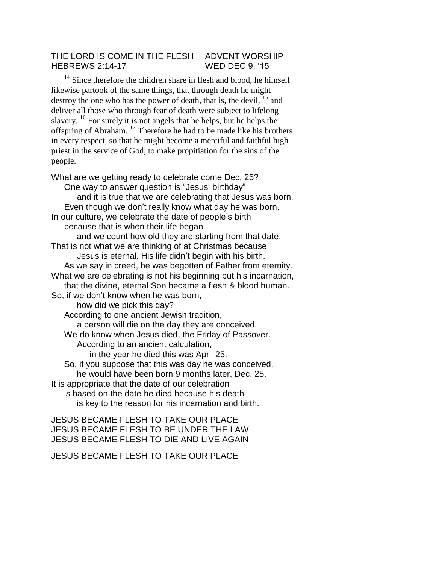## THE LORD IS COME IN THE FLESH ADVENT WORSHIP HEBREWS 2:14-17 WED DEC 9, '15

 $14$  Since therefore the children share in flesh and blood, he himself likewise partook of the same things, that through death he might destroy the one who has the power of death, that is, the devil,  $^{15}$  and deliver all those who through fear of death were subject to lifelong slavery. <sup>16</sup> For surely it is not angels that he helps, but he helps the offspring of Abraham. <sup>17</sup> Therefore he had to be made like his brothers in every respect, so that he might become a merciful and faithful high priest in the service of God, to make propitiation for the sins of the people.

What are we getting ready to celebrate come Dec. 25? One way to answer question is "Jesus' birthday" and it is true that we are celebrating that Jesus was born. Even though we don't really know what day he was born. In our culture, we celebrate the date of people's birth because that is when their life began and we count how old they are starting from that date. That is not what we are thinking of at Christmas because Jesus is eternal. His life didn't begin with his birth. As we say in creed, he was begotten of Father from eternity. What we are celebrating is not his beginning but his incarnation, that the divine, eternal Son became a flesh & blood human. So, if we don't know when he was born, how did we pick this day? According to one ancient Jewish tradition, a person will die on the day they are conceived. We do know when Jesus died, the Friday of Passover. According to an ancient calculation, in the year he died this was April 25. So, if you suppose that this was day he was conceived, he would have been born 9 months later, Dec. 25. It is appropriate that the date of our celebration is based on the date he died because his death is key to the reason for his incarnation and birth.

JESUS BECAME FLESH TO TAKE OUR PLACE JESUS BECAME FLESH TO BE UNDER THE LAW JESUS BECAME FLESH TO DIE AND LIVE AGAIN

JESUS BECAME FLESH TO TAKE OUR PLACE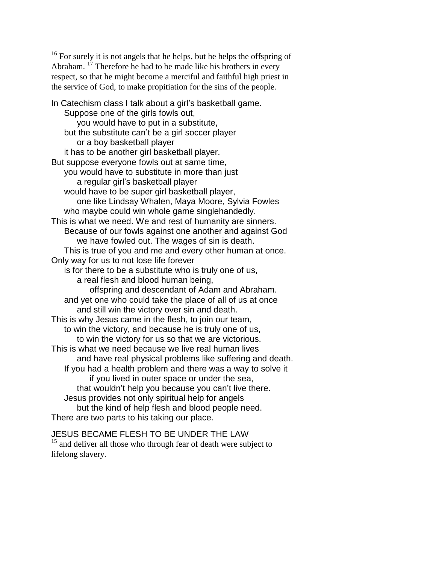<sup>16</sup> For surely it is not angels that he helps, but he helps the offspring of Abraham. <sup>17</sup> Therefore he had to be made like his brothers in every respect, so that he might become a merciful and faithful high priest in the service of God, to make propitiation for the sins of the people.

In Catechism class I talk about a girl's basketball game. Suppose one of the girls fowls out, you would have to put in a substitute, but the substitute can't be a girl soccer player or a boy basketball player it has to be another girl basketball player. But suppose everyone fowls out at same time, you would have to substitute in more than just a regular girl's basketball player would have to be super girl basketball player, one like Lindsay Whalen, Maya Moore, Sylvia Fowles who maybe could win whole game singlehandedly. This is what we need. We and rest of humanity are sinners. Because of our fowls against one another and against God we have fowled out. The wages of sin is death. This is true of you and me and every other human at once. Only way for us to not lose life forever is for there to be a substitute who is truly one of us, a real flesh and blood human being, offspring and descendant of Adam and Abraham. and yet one who could take the place of all of us at once and still win the victory over sin and death. This is why Jesus came in the flesh, to join our team, to win the victory, and because he is truly one of us, to win the victory for us so that we are victorious. This is what we need because we live real human lives and have real physical problems like suffering and death. If you had a health problem and there was a way to solve it if you lived in outer space or under the sea, that wouldn't help you because you can't live there. Jesus provides not only spiritual help for angels but the kind of help flesh and blood people need. There are two parts to his taking our place.

JESUS BECAME FLESH TO BE UNDER THE LAW <sup>15</sup> and deliver all those who through fear of death were subject to lifelong slavery.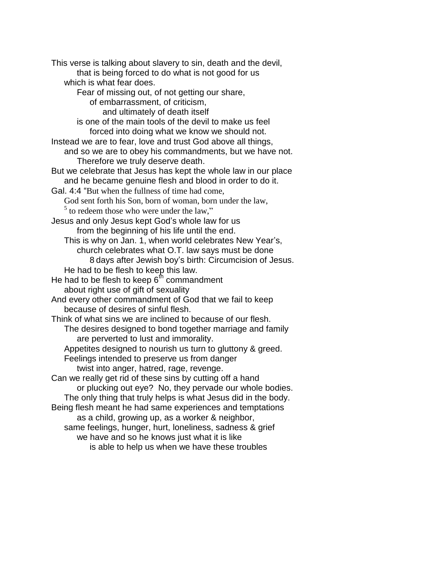This verse is talking about slavery to sin, death and the devil, that is being forced to do what is not good for us which is what fear does. Fear of missing out, of not getting our share, of embarrassment, of criticism, and ultimately of death itself is one of the main tools of the devil to make us feel forced into doing what we know we should not. Instead we are to fear, love and trust God above all things, and so we are to obey his commandments, but we have not. Therefore we truly deserve death. But we celebrate that Jesus has kept the whole law in our place and he became genuine flesh and blood in order to do it. Gal. 4:4 "But when the fullness of time had come, God sent forth his Son, born of woman, born under the law,  $<sup>5</sup>$  to redeem those who were under the law,"</sup> Jesus and only Jesus kept God's whole law for us from the beginning of his life until the end. This is why on Jan. 1, when world celebrates New Year's, church celebrates what O.T. law says must be done 8 days after Jewish boy's birth: Circumcision of Jesus. He had to be flesh to keep this law. He had to be flesh to keep  $6<sup>th</sup>$  commandment about right use of gift of sexuality And every other commandment of God that we fail to keep because of desires of sinful flesh. Think of what sins we are inclined to because of our flesh. The desires designed to bond together marriage and family are perverted to lust and immorality. Appetites designed to nourish us turn to gluttony & greed. Feelings intended to preserve us from danger twist into anger, hatred, rage, revenge. Can we really get rid of these sins by cutting off a hand or plucking out eye? No, they pervade our whole bodies. The only thing that truly helps is what Jesus did in the body. Being flesh meant he had same experiences and temptations as a child, growing up, as a worker & neighbor, same feelings, hunger, hurt, loneliness, sadness & grief we have and so he knows just what it is like is able to help us when we have these troubles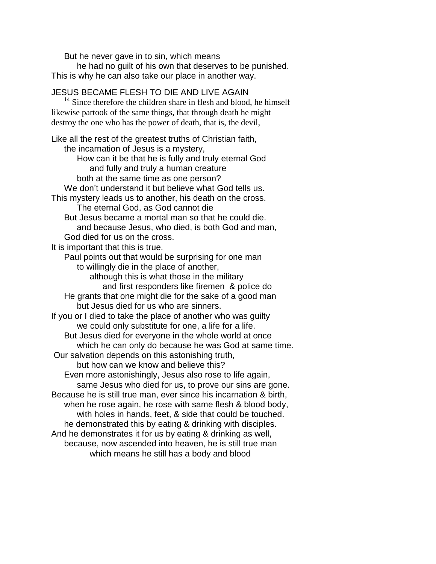But he never gave in to sin, which means he had no guilt of his own that deserves to be punished. This is why he can also take our place in another way.

JESUS BECAME FLESH TO DIE AND LIVE AGAIN  $14$  Since therefore the children share in flesh and blood, he himself likewise partook of the same things, that through death he might destroy the one who has the power of death, that is, the devil, Like all the rest of the greatest truths of Christian faith, the incarnation of Jesus is a mystery, How can it be that he is fully and truly eternal God and fully and truly a human creature both at the same time as one person? We don't understand it but believe what God tells us. This mystery leads us to another, his death on the cross. The eternal God, as God cannot die But Jesus became a mortal man so that he could die. and because Jesus, who died, is both God and man, God died for us on the cross. It is important that this is true. Paul points out that would be surprising for one man to willingly die in the place of another, although this is what those in the military and first responders like firemen & police do He grants that one might die for the sake of a good man but Jesus died for us who are sinners. If you or I died to take the place of another who was guilty we could only substitute for one, a life for a life. But Jesus died for everyone in the whole world at once which he can only do because he was God at same time. Our salvation depends on this astonishing truth, but how can we know and believe this? Even more astonishingly, Jesus also rose to life again, same Jesus who died for us, to prove our sins are gone. Because he is still true man, ever since his incarnation & birth, when he rose again, he rose with same flesh & blood body, with holes in hands, feet, & side that could be touched. he demonstrated this by eating & drinking with disciples. And he demonstrates it for us by eating & drinking as well, because, now ascended into heaven, he is still true man which means he still has a body and blood